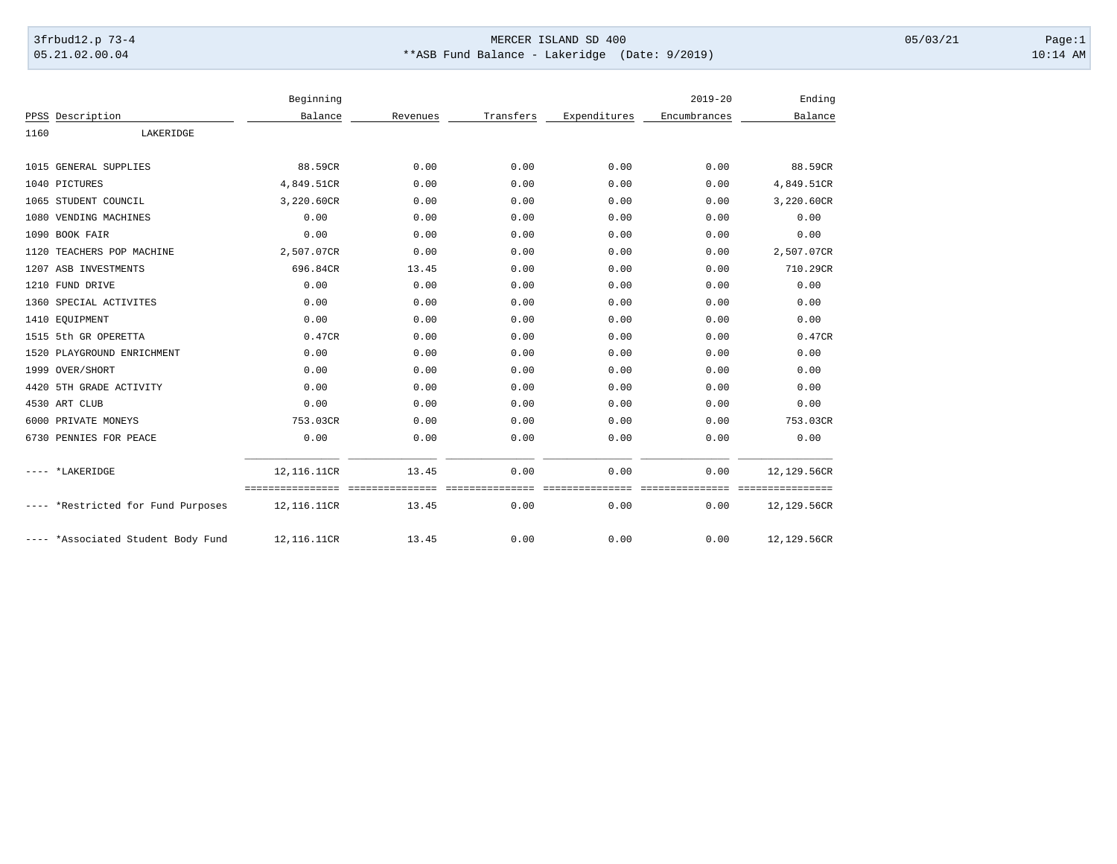## 3frbud12.p 73-4 Page:1 Page:1 05.21.02.00.04 \*\*ASB Fund Balance - Lakeridge (Date: 9/2019) 10:14 AM

|      |                                    | Beginning                                        |          |                         |                         | $2019 - 20$             | Ending                          |
|------|------------------------------------|--------------------------------------------------|----------|-------------------------|-------------------------|-------------------------|---------------------------------|
|      | PPSS Description                   | Balance                                          | Revenues | Transfers               | Expenditures            | Encumbrances            | Balance                         |
| 1160 | LAKERIDGE                          |                                                  |          |                         |                         |                         |                                 |
|      | 1015 GENERAL SUPPLIES              | 88.59CR                                          | 0.00     | 0.00                    | 0.00                    | 0.00                    | 88.59CR                         |
|      | 1040 PICTURES                      | 4,849.51CR                                       | 0.00     | 0.00                    | 0.00                    | 0.00                    | 4,849.51CR                      |
|      | 1065 STUDENT COUNCIL               | 3,220.60CR                                       | 0.00     | 0.00                    | 0.00                    | 0.00                    | 3,220.60CR                      |
|      | 1080 VENDING MACHINES              | 0.00                                             | 0.00     | 0.00                    | 0.00                    | 0.00                    | 0.00                            |
|      | 1090 BOOK FAIR                     | 0.00                                             | 0.00     | 0.00                    | 0.00                    | 0.00                    | 0.00                            |
|      | 1120 TEACHERS POP MACHINE          | 2,507.07CR                                       | 0.00     | 0.00                    | 0.00                    | 0.00                    | 2,507.07CR                      |
|      | 1207 ASB INVESTMENTS               | 696.84CR                                         | 13.45    | 0.00                    | 0.00                    | 0.00                    | 710.29CR                        |
|      | 1210 FUND DRIVE                    | 0.00                                             | 0.00     | 0.00                    | 0.00                    | 0.00                    | 0.00                            |
|      | 1360 SPECIAL ACTIVITES             | 0.00                                             | 0.00     | 0.00                    | 0.00                    | 0.00                    | 0.00                            |
|      | 1410 EQUIPMENT                     | 0.00                                             | 0.00     | 0.00                    | 0.00                    | 0.00                    | 0.00                            |
|      | 1515 5th GR OPERETTA               | 0.47CR                                           | 0.00     | 0.00                    | 0.00                    | 0.00                    | 0.47CR                          |
|      | 1520 PLAYGROUND ENRICHMENT         | 0.00                                             | 0.00     | 0.00                    | 0.00                    | 0.00                    | 0.00                            |
|      | 1999 OVER/SHORT                    | 0.00                                             | 0.00     | 0.00                    | 0.00                    | 0.00                    | 0.00                            |
|      | 4420 5TH GRADE ACTIVITY            | 0.00                                             | 0.00     | 0.00                    | 0.00                    | 0.00                    | 0.00                            |
|      | 4530 ART CLUB                      | 0.00                                             | 0.00     | 0.00                    | 0.00                    | 0.00                    | 0.00                            |
|      | 6000 PRIVATE MONEYS                | 753.03CR                                         | 0.00     | 0.00                    | 0.00                    | 0.00                    | 753.03CR                        |
|      | 6730 PENNIES FOR PEACE             | 0.00                                             | 0.00     | 0.00                    | 0.00                    | 0.00                    | 0.00                            |
|      | ---- *LAKERIDGE                    | 12,116.11CR                                      | 13.45    | 0.00                    | 0.00                    | 0.00                    | 12,129.56CR                     |
|      | ---- *Restricted for Fund Purposes | =================================<br>12,116.11CR | 13.45    | ===============<br>0.00 | ---------------<br>0.00 | ===============<br>0.00 | ================<br>12,129.56CR |
|      | ---- *Associated Student Body Fund | 12,116.11CR                                      | 13.45    | 0.00                    | 0.00                    | 0.00                    | 12,129.56CR                     |